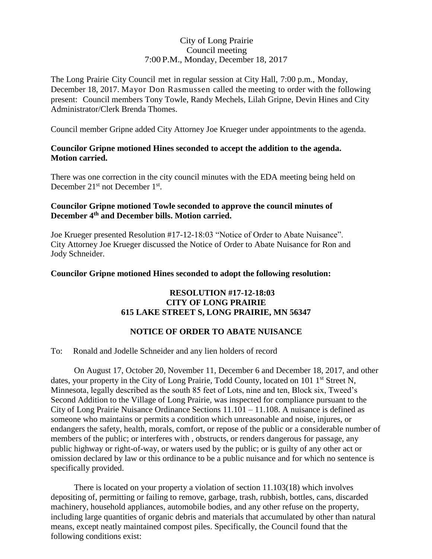### City of Long Prairie Council meeting 7:00 P.M., Monday, December 18, 2017

The Long Prairie City Council met in regular session at City Hall, 7:00 p.m., Monday, December 18, 2017. Mayor Don Rasmussen called the meeting to order with the following present: Council members Tony Towle, Randy Mechels, Lilah Gripne, Devin Hines and City Administrator/Clerk Brenda Thomes.

Council member Gripne added City Attorney Joe Krueger under appointments to the agenda.

### **Councilor Gripne motioned Hines seconded to accept the addition to the agenda. Motion carried.**

There was one correction in the city council minutes with the EDA meeting being held on December 21<sup>st</sup> not December 1<sup>st</sup>.

### **Councilor Gripne motioned Towle seconded to approve the council minutes of December 4th and December bills. Motion carried.**

Joe Krueger presented Resolution #17-12-18:03 "Notice of Order to Abate Nuisance". City Attorney Joe Krueger discussed the Notice of Order to Abate Nuisance for Ron and Jody Schneider.

### **Councilor Gripne motioned Hines seconded to adopt the following resolution:**

### **RESOLUTION #17-12-18:03 CITY OF LONG PRAIRIE 615 LAKE STREET S, LONG PRAIRIE, MN 56347**

# **NOTICE OF ORDER TO ABATE NUISANCE**

#### To: Ronald and Jodelle Schneider and any lien holders of record

 On August 17, October 20, November 11, December 6 and December 18, 2017, and other dates, your property in the City of Long Prairie, Todd County, located on 101 1<sup>st</sup> Street N, Minnesota, legally described as the south 85 feet of Lots, nine and ten, Block six, Tweed's Second Addition to the Village of Long Prairie, was inspected for compliance pursuant to the City of Long Prairie Nuisance Ordinance Sections 11.101 – 11.108. A nuisance is defined as someone who maintains or permits a condition which unreasonable and noise, injures, or endangers the safety, health, morals, comfort, or repose of the public or a considerable number of members of the public; or interferes with , obstructs, or renders dangerous for passage, any public highway or right-of-way, or waters used by the public; or is guilty of any other act or omission declared by law or this ordinance to be a public nuisance and for which no sentence is specifically provided.

 There is located on your property a violation of section 11.103(18) which involves depositing of, permitting or failing to remove, garbage, trash, rubbish, bottles, cans, discarded machinery, household appliances, automobile bodies, and any other refuse on the property, including large quantities of organic debris and materials that accumulated by other than natural means, except neatly maintained compost piles. Specifically, the Council found that the following conditions exist: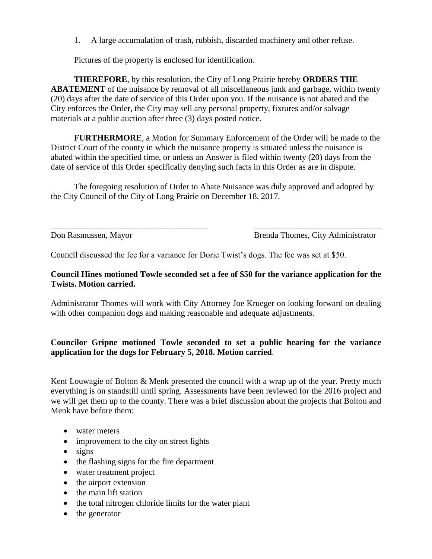1. A large accumulation of trash, rubbish, discarded machinery and other refuse.

Pictures of the property is enclosed for identification.

 **THEREFORE**, by this resolution, the City of Long Prairie hereby **ORDERS THE ABATEMENT** of the nuisance by removal of all miscellaneous junk and garbage, within twenty (20) days after the date of service of this Order upon you. If the nuisance is not abated and the City enforces the Order, the City may sell any personal property, fixtures and/or salvage materials at a public auction after three (3) days posted notice.

 **FURTHERMORE**, a Motion for Summary Enforcement of the Order will be made to the District Court of the county in which the nuisance property is situated unless the nuisance is abated within the specified time, or unless an Answer is filed within twenty (20) days from the date of service of this Order specifically denying such facts in this Order as are in dispute.

 The foregoing resolution of Order to Abate Nuisance was duly approved and adopted by the City Council of the City of Long Prairie on December 18, 2017.

\_\_\_\_\_\_\_\_\_\_\_\_\_\_\_\_\_\_\_\_\_\_\_\_\_\_\_\_\_\_\_\_\_\_\_\_\_ \_\_\_\_\_\_\_\_\_\_\_\_\_\_\_\_\_\_\_\_\_\_\_\_\_\_\_\_\_\_

Don Rasmussen, Mayor Brenda Thomes, City Administrator

Council discussed the fee for a variance for Dorie Twist's dogs. The fee was set at \$50.

### **Council Hines motioned Towle seconded set a fee of \$50 for the variance application for the Twists. Motion carried.**

Administrator Thomes will work with City Attorney Joe Krueger on looking forward on dealing with other companion dogs and making reasonable and adequate adjustments.

## **Councilor Gripne motioned Towle seconded to set a public hearing for the variance application for the dogs for February 5, 2018. Motion carried**.

Kent Louwagie of Bolton & Menk presented the council with a wrap up of the year. Pretty much everything is on standstill until spring. Assessments have been reviewed for the 2016 project and we will get them up to the county. There was a brief discussion about the projects that Bolton and Menk have before them:

- water meters
- improvement to the city on street lights
- $\bullet$  signs
- the flashing signs for the fire department
- water treatment project
- the airport extension
- the main lift station
- the total nitrogen chloride limits for the water plant
- the generator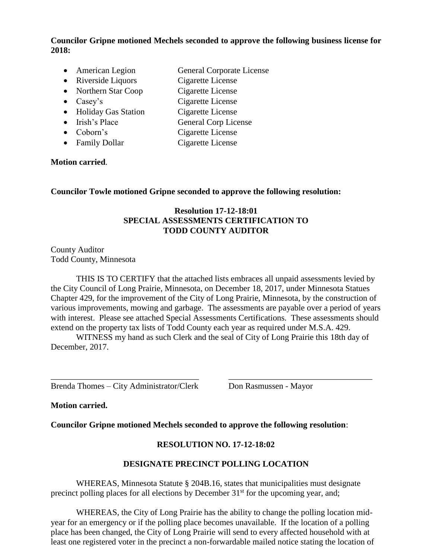**Councilor Gripne motioned Mechels seconded to approve the following business license for 2018:**

- American Legion General Corporate License
- Riverside Liquors Cigarette License
- Northern Star Coop Cigarette License
- Casey's Cigarette License
	-
- Holiday Gas Station Cigarette License
- Irish's Place General Corp License
- 
- Coborn's Cigarette License
- Family Dollar Cigarette License

## **Motion carried**.

**Councilor Towle motioned Gripne seconded to approve the following resolution:**

## **Resolution 17-12-18:01 SPECIAL ASSESSMENTS CERTIFICATION TO TODD COUNTY AUDITOR**

County Auditor Todd County, Minnesota

THIS IS TO CERTIFY that the attached lists embraces all unpaid assessments levied by the City Council of Long Prairie, Minnesota, on December 18, 2017, under Minnesota Statues Chapter 429, for the improvement of the City of Long Prairie, Minnesota, by the construction of various improvements, mowing and garbage. The assessments are payable over a period of years with interest. Please see attached Special Assessments Certifications. These assessments should extend on the property tax lists of Todd County each year as required under M.S.A. 429.

WITNESS my hand as such Clerk and the seal of City of Long Prairie this 18th day of December, 2017.

\_\_\_\_\_\_\_\_\_\_\_\_\_\_\_\_\_\_\_\_\_\_\_\_\_\_\_\_\_\_\_\_\_\_\_ \_\_\_\_\_\_\_\_\_\_\_\_\_\_\_\_\_\_\_\_\_\_\_\_\_\_\_\_\_\_\_\_\_\_ Brenda Thomes – City Administrator/Clerk Don Rasmussen - Mayor

**Motion carried.**

**Councilor Gripne motioned Mechels seconded to approve the following resolution**:

# **RESOLUTION NO. 17-12-18:02**

# **DESIGNATE PRECINCT POLLING LOCATION**

WHEREAS, Minnesota Statute § 204B.16, states that municipalities must designate precinct polling places for all elections by December  $31<sup>st</sup>$  for the upcoming year, and;

WHEREAS, the City of Long Prairie has the ability to change the polling location midyear for an emergency or if the polling place becomes unavailable. If the location of a polling place has been changed, the City of Long Prairie will send to every affected household with at least one registered voter in the precinct a non-forwardable mailed notice stating the location of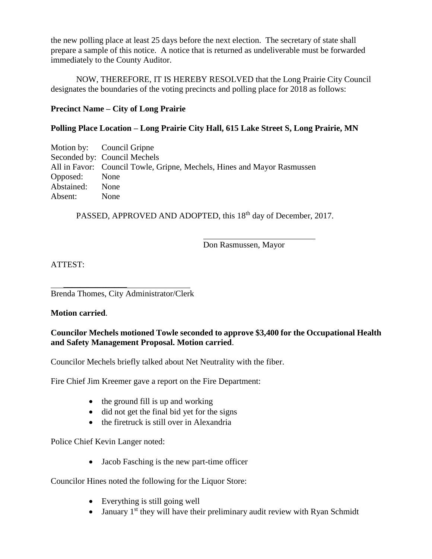the new polling place at least 25 days before the next election. The secretary of state shall prepare a sample of this notice. A notice that is returned as undeliverable must be forwarded immediately to the County Auditor.

NOW, THEREFORE, IT IS HEREBY RESOLVED that the Long Prairie City Council designates the boundaries of the voting precincts and polling place for 2018 as follows:

### **Precinct Name – City of Long Prairie**

### **Polling Place Location – Long Prairie City Hall, 615 Lake Street S, Long Prairie, MN**

|               | Motion by: Council Gripne                                               |
|---------------|-------------------------------------------------------------------------|
|               | Seconded by: Council Mechels                                            |
|               | All in Favor: Council Towle, Gripne, Mechels, Hines and Mayor Rasmussen |
| Opposed: None |                                                                         |
| Abstained:    | None                                                                    |
| Absent: None  |                                                                         |

PASSED, APPROVED AND ADOPTED, this 18<sup>th</sup> day of December, 2017.

l

Don Rasmussen, Mayor

ATTEST:

Brenda Thomes, City Administrator/Clerk

#### **Motion carried**.

 $\overline{\phantom{a}}$  , which is a set of the set of the set of the set of the set of the set of the set of the set of the set of the set of the set of the set of the set of the set of the set of the set of the set of the set of th

### **Councilor Mechels motioned Towle seconded to approve \$3,400 for the Occupational Health and Safety Management Proposal. Motion carried**.

Councilor Mechels briefly talked about Net Neutrality with the fiber.

Fire Chief Jim Kreemer gave a report on the Fire Department:

- $\bullet$  the ground fill is up and working
- did not get the final bid yet for the signs
- the firetruck is still over in Alexandria

Police Chief Kevin Langer noted:

• Jacob Fasching is the new part-time officer

Councilor Hines noted the following for the Liquor Store:

- Everything is still going well
- January  $1<sup>st</sup>$  they will have their preliminary audit review with Ryan Schmidt